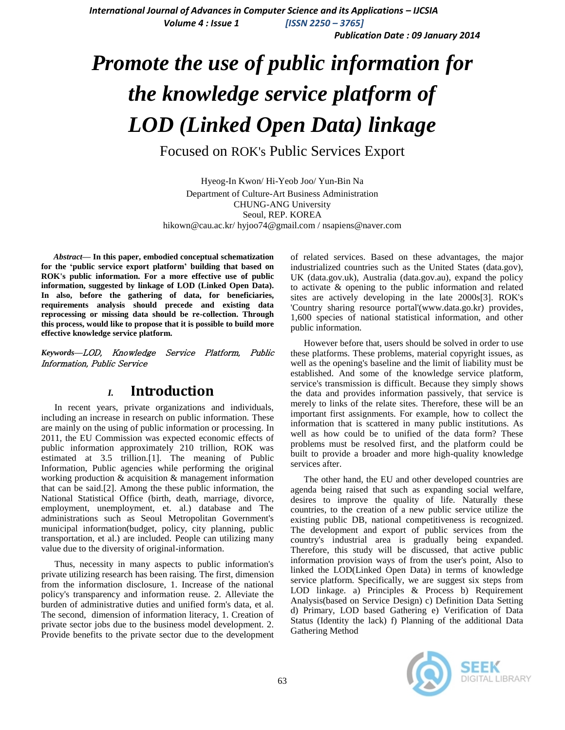*International Journal of Advances in Computer Science and its Applications – IJCSIA Volume 4 : Issue 1 [ISSN 2250 – 3765]*

*Publication Date : 09 January 2014*

# *Promote the use of public information for the knowledge service platform of LOD (Linked Open Data) linkage*

Focused on ROK's Public Services Export

Hyeog-In Kwon/ Hi-Yeob Joo/ Yun-Bin Na Department of Culture-Art Business Administration CHUNG-ANG University Seoul, REP. KOREA hikown@cau.ac.kr/ hyjoo74@gmail.com / nsapiens@naver.com

*Abstract***— In this paper, embodied conceptual schematization for the 'public service export platform' building that based on ROK's public information. For a more effective use of public information, suggested by linkage of LOD (Linked Open Data). In also, before the gathering of data, for beneficiaries, requirements analysis should precede and existing data reprocessing or missing data should be re-collection. Through this process, would like to propose that it is possible to build more effective knowledge service platform.** 

*Keywords—*LOD, Knowledge Service Platform, Public Information, Public Service

## *I.* **Introduction**

In recent years, private organizations and individuals, including an increase in research on public information. These are mainly on the using of public information or processing. In 2011, the EU Commission was expected economic effects of public information approximately 210 trillion, ROK was estimated at 3.5 trillion.[1]. The meaning of Public Information, Public agencies while performing the original working production & acquisition & management information that can be said.[2]. Among the these public information, the National Statistical Office (birth, death, marriage, divorce, employment, unemployment, et. al.) database and The administrations such as Seoul Metropolitan Government's municipal information(budget, policy, city planning, public transportation, et al.) are included. People can utilizing many value due to the diversity of original-information.

Thus, necessity in many aspects to public information's private utilizing research has been raising. The first, dimension from the information disclosure, 1. Increase of the national policy's transparency and information reuse. 2. Alleviate the burden of administrative duties and unified form's data, et al. The second, dimension of information literacy, 1. Creation of private sector jobs due to the business model development. 2. Provide benefits to the private sector due to the development of related services. Based on these advantages, the major industrialized countries such as the United States (data.gov), UK (data.gov.uk), Australia (data.gov.au), expand the policy to activate & opening to the public information and related sites are actively developing in the late 2000s[3]. ROK's 'Country sharing resource portal'(www.data.go.kr) provides, 1,600 species of national statistical information, and other public information.

However before that, users should be solved in order to use these platforms. These problems, material copyright issues, as well as the opening's baseline and the limit of liability must be established. And some of the knowledge service platform, service's transmission is difficult. Because they simply shows the data and provides information passively, that service is merely to links of the relate sites. Therefore, these will be an important first assignments. For example, how to collect the information that is scattered in many public institutions. As well as how could be to unified of the data form? These problems must be resolved first, and the platform could be built to provide a broader and more high-quality knowledge services after.

The other hand, the EU and other developed countries are agenda being raised that such as expanding social welfare, desires to improve the quality of life. Naturally these countries, to the creation of a new public service utilize the existing public DB, national competitiveness is recognized. The development and export of public services from the country's industrial area is gradually being expanded. Therefore, this study will be discussed, that active public information provision ways of from the user's point, Also to linked the LOD(Linked Open Data) in terms of knowledge service platform. Specifically, we are suggest six steps from LOD linkage. a) Principles & Process b) Requirement Analysis(based on Service Design) c) Definition Data Setting d) Primary, LOD based Gathering e) Verification of Data Status (Identity the lack) f) Planning of the additional Data Gathering Method

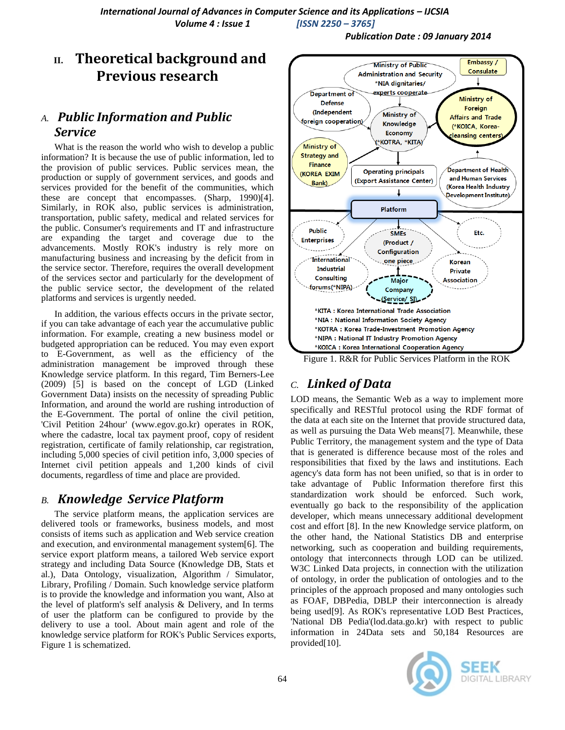*Publication Date : 09 January 2014*

# **II. Theoretical background and Previous research**

# *A. Public Information and Public Service*

What is the reason the world who wish to develop a public information? It is because the use of public information, led to the provision of public services. Public services mean, the production or supply of government services, and goods and services provided for the benefit of the communities, which these are concept that encompasses. (Sharp, 1990)[4]. Similarly, in ROK also, public services is administration, transportation, public safety, medical and related services for the public. Consumer's requirements and IT and infrastructure are expanding the target and coverage due to the advancements. Mostly ROK's industry is rely more on manufacturing business and increasing by the deficit from in the service sector. Therefore, requires the overall development of the services sector and particularly for the development of the public service sector, the development of the related platforms and services is urgently needed.

In addition, the various effects occurs in the private sector, if you can take advantage of each year the accumulative public information. For example, creating a new business model or budgeted appropriation can be reduced. You may even export to E-Government, as well as the efficiency of the administration management be improved through these Knowledge service platform. In this regard, Tim Berners-Lee (2009) [5] is based on the concept of LGD (Linked Government Data) insists on the necessity of spreading Public Information, and around the world are rushing introduction of the E-Government. The portal of online the civil petition, 'Civil Petition 24hour' (www.egov.go.kr) operates in ROK, where the cadastre, local tax payment proof, copy of resident registration, certificate of family relationship, car registration, including 5,000 species of civil petition info, 3,000 species of Internet civil petition appeals and 1,200 kinds of civil documents, regardless of time and place are provided.

# *B. Knowledge Service Platform*

The service platform means, the application services are delivered tools or frameworks, business models, and most consists of items such as application and Web service creation and execution, and environmental management system[6]. The service export platform means, a tailored Web service export strategy and including Data Source (Knowledge DB, Stats et al.), Data Ontology, visualization, Algorithm / Simulator, Library, Profiling / Domain. Such knowledge service platform is to provide the knowledge and information you want, Also at the level of platform's self analysis & Delivery, and In terms of user the platform can be configured to provide by the delivery to use a tool. About main agent and role of the knowledge service platform for ROK's Public Services exports, Figure 1 is schematized.



#### Figure 1. R&R for Public Services Platform in the ROK

# *C. Linked of Data*

LOD means, the Semantic Web as a way to implement more specifically and RESTful protocol using the RDF format of the data at each site on the Internet that provide structured data, as well as pursuing the Data Web means[7]. Meanwhile, these Public Territory, the management system and the type of Data that is generated is difference because most of the roles and responsibilities that fixed by the laws and institutions. Each agency's data form has not been unified, so that is in order to take advantage of Public Information therefore first this standardization work should be enforced. Such work, eventually go back to the responsibility of the application developer, which means unnecessary additional development cost and effort [8]. In the new Knowledge service platform, on the other hand, the National Statistics DB and enterprise networking, such as cooperation and building requirements, ontology that interconnects through LOD can be utilized. W3C Linked Data projects, in connection with the utilization of ontology, in order the publication of ontologies and to the principles of the approach proposed and many ontologies such as FOAF, DBPedia, DBLP their interconnection is already being used[9]. As ROK's representative LOD Best Practices, 'National DB Pedia'(lod.data.go.kr) with respect to public information in 24Data sets and 50,184 Resources are provided[10].

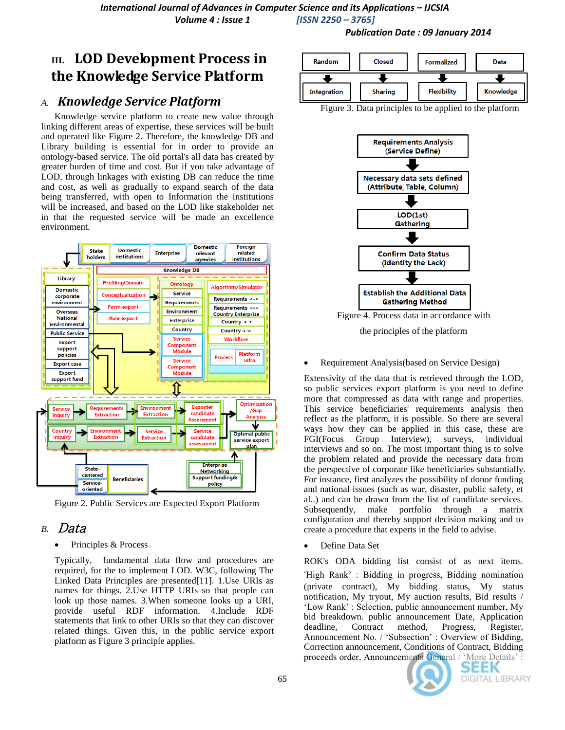# **III. LOD Development Process in the Knowledge Service Platform**

## *A. Knowledge Service Platform*

Knowledge service platform to create new value through linking different areas of expertise, these services will be built and operated like Figure 2. Therefore, the knowledge DB and Library building is essential for in order to provide an ontology-based service. The old portal's all data has created by greater burden of time and cost. But if you take advantage of LOD, through linkages with existing DB can reduce the time and cost, as well as gradually to expand search of the data being transferred, with open to Information the institutions will be increased, and based on the LOD like stakeholder net in that the requested service will be made an excellence environment.



Figure 2. Public Services are Expected Export Platform

# *B.* Data

• Principles & Process

Typically, fundamental data flow and procedures are required, for the to implement LOD. W3C, following The Linked Data Principles are presented[11]. 1.Use URIs as names for things. 2.Use HTTP URIs so that people can look up those names. 3.When someone looks up a URI, provide useful RDF information. 4.Include RDF statements that link to other URIs so that they can discover related things. Given this, in the public service export platform as Figure 3 principle applies.



*Publication Date : 09 January 2014*

Figure 3. Data principles to be applied to the platform



the principles of the platform

### Requirement Analysis(based on Service Design)

Extensivity of the data that is retrieved through the LOD, so public services export platform is you need to define more that compressed as data with range and properties. This service beneficiaries' requirements analysis then reflect as the platform, it is possible. So there are several ways how they can be applied in this case, these are FGI(Focus Group Interview), surveys, individual interviews and so on. The most important thing is to solve the problem related and provide the necessary data from the perspective of corporate like beneficiaries substantially. For instance, first analyzes the possibility of donor funding and national issues (such as war, disaster, public safety, et al..) and can be drawn from the list of candidate services. Subsequently, make portfolio through a matrix configuration and thereby support decision making and to create a procedure that experts in the field to advise.

Define Data Set

ROK's ODA bidding list consist of as next items. 'High Rank" : Bidding in progress, Bidding nomination (private contract), My bidding status, My status notification, My tryout, My auction results, Bid results / "Low Rank" : Selection, public announcement number, My bid breakdown. public announcement Date, Application deadline, Contract method, Progress, Register, Announcement No. / "Subsection" : Overview of Bidding, Correction announcement, Conditions of Contract, Bidding proceeds order, Announcements General / "More Details" :

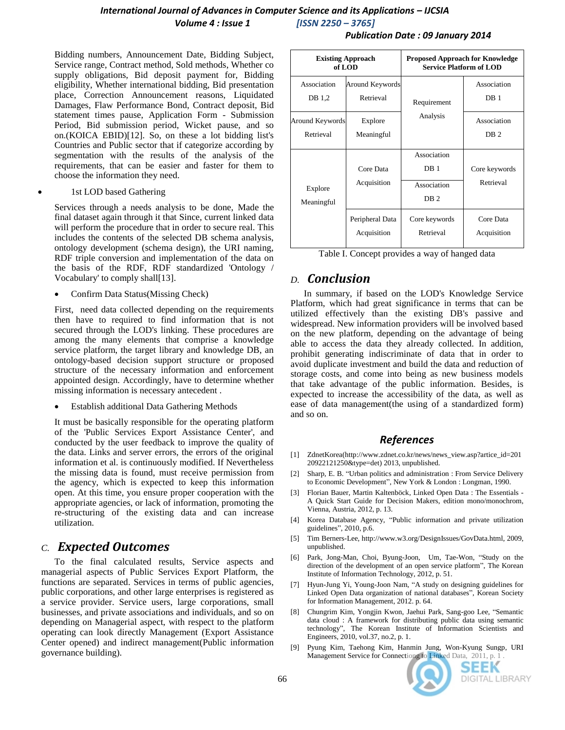## *International Journal of Advances in Computer Science and its Applications – IJCSIA Volume 4 : Issue 1 [ISSN 2250 – 3765]*

Bidding numbers, Announcement Date, Bidding Subject, Service range, Contract method, Sold methods, Whether co supply obligations, Bid deposit payment for, Bidding eligibility, Whether international bidding, Bid presentation place, Correction Announcement reasons, Liquidated Damages, Flaw Performance Bond, Contract deposit, Bid statement times pause, Application Form - Submission Period, Bid submission period, Wicket pause, and so on.(KOICA EBID)[12]. So, on these a lot bidding list's Countries and Public sector that if categorize according by segmentation with the results of the analysis of the requirements, that can be easier and faster for them to choose the information they need.

1st LOD based Gathering

Services through a needs analysis to be done, Made the final dataset again through it that Since, current linked data will perform the procedure that in order to secure real. This includes the contents of the selected DB schema analysis, ontology development (schema design), the URI naming, RDF triple conversion and implementation of the data on the basis of the RDF, RDF standardized 'Ontology / Vocabulary' to comply shall[13].

Confirm Data Status(Missing Check)

First, need data collected depending on the requirements then have to required to find information that is not secured through the LOD's linking. These procedures are among the many elements that comprise a knowledge service platform, the target library and knowledge DB, an ontology-based decision support structure or proposed structure of the necessary information and enforcement appointed design. Accordingly, have to determine whether missing information is necessary antecedent .

Establish additional Data Gathering Methods

It must be basically responsible for the operating platform of the 'Public Services Export Assistance Center', and conducted by the user feedback to improve the quality of the data. Links and server errors, the errors of the original information et al. is continuously modified. If Nevertheless the missing data is found, must receive permission from the agency, which is expected to keep this information open. At this time, you ensure proper cooperation with the appropriate agencies, or lack of information, promoting the re-structuring of the existing data and can increase utilization.

## *C. Expected Outcomes*

To the final calculated results, Service aspects and managerial aspects of Public Services Export Platform, the functions are separated. Services in terms of public agencies, public corporations, and other large enterprises is registered as a service provider. Service users, large corporations, small businesses, and private associations and individuals, and so on depending on Managerial aspect, with respect to the platform operating can look directly Management (Export Assistance Center opened) and indirect management(Public information governance building).

| <b>Existing Approach</b><br>of LOD |                                | <b>Proposed Approach for Knowledge</b><br><b>Service Platform of LOD</b> |                                |
|------------------------------------|--------------------------------|--------------------------------------------------------------------------|--------------------------------|
| Association<br>DB 1,2              | Around Keywords<br>Retrieval   | Requirement<br>Analysis                                                  | Association<br>DB <sub>1</sub> |
| Around Keywords<br>Retrieval       | Explore<br>Meaningful          |                                                                          | Association<br>DB <sub>2</sub> |
| Explore<br>Meaningful              | Core Data<br>Acquisition       | Association<br>DB <sub>1</sub><br>Association<br>DB <sub>2</sub>         | Core keywords<br>Retrieval     |
|                                    | Peripheral Data<br>Acquisition | Core keywords<br>Retrieval                                               | Core Data<br>Acquisition       |

Table I. Concept provides a way of hanged data

## *D. Conclusion*

In summary, if based on the LOD's Knowledge Service Platform, which had great significance in terms that can be utilized effectively than the existing DB's passive and widespread. New information providers will be involved based on the new platform, depending on the advantage of being able to access the data they already collected. In addition, prohibit generating indiscriminate of data that in order to avoid duplicate investment and build the data and reduction of storage costs, and come into being as new business models that take advantage of the public information. Besides, is expected to increase the accessibility of the data, as well as ease of data management(the using of a standardized form) and so on.

## *References*

- [1] ZdnetKorea(http://www.zdnet.co.kr/news/news\_view.asp?artice\_id=201 20922121250&type=det) 2013, unpublished.
- [2] Sharp, E. B. "Urban politics and administration : From Service Delivery to Economic Development", New York & London : Longman, 1990.
- [3] Florian Bauer, Martin Kaltenböck, Linked Open Data : The Essentials A Quick Start Guide for Decision Makers, edition mono/monochrom, Vienna, Austria, 2012, p. 13.
- [4] Korea Database Agency, "Public information and private utilization guidelines", 2010, p.6.
- [5] Tim Berners-Lee, http://www.w3.org/DesignIssues/GovData.html, 2009, unpublished.
- [6] Park, Jong-Man, Choi, Byung-Joon, Um, Tae-Won, "Study on the direction of the development of an open service platform", The Korean Institute of Information Technology, 2012, p. 51.
- [7] Hyun-Jung Yi, Young-Joon Nam, "A study on designing guidelines for Linked Open Data organization of national databases", Korean Society for Information Management, 2012. p. 64.
- [8] Chungrim Kim, Yongjin Kwon, Jaehui Park, Sang-goo Lee, "Semantic data cloud : A framework for distributing public data using semantic technology", The Korean Institute of Information Scientists and Engineers, 2010, vol.37, no.2, p. 1.
- [9] Pyung Kim, Taehong Kim, Hanmin Jung, Won-Kyung Sungp, URI Management Service for Connectiong to Linked Data, 2011, p. 1.



### *Publication Date : 09 January 2014*